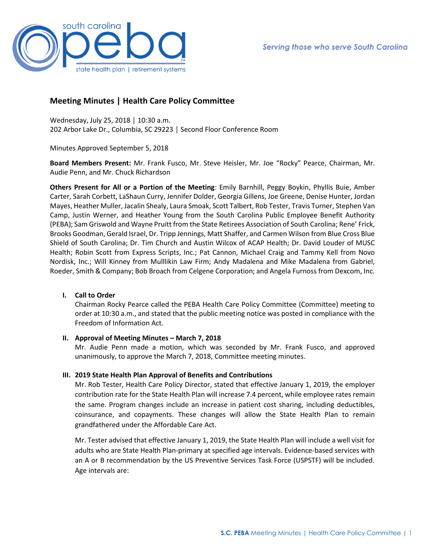

# **Meeting Minutes | Health Care Policy Committee**

Wednesday, July 25, 2018 │ 10:30 a.m. 202 Arbor Lake Dr., Columbia, SC 29223 │ Second Floor Conference Room

Minutes Approved September 5, 2018

**Board Members Present:** Mr. Frank Fusco, Mr. Steve Heisler, Mr. Joe "Rocky" Pearce, Chairman, Mr. Audie Penn, and Mr. Chuck Richardson

**Others Present for All or a Portion of the Meeting**: Emily Barnhill, Peggy Boykin, Phyllis Buie, Amber Carter, Sarah Corbett, LaShaun Curry, Jennifer Dolder, Georgia Gillens, Joe Greene, Denise Hunter, Jordan Mayes, Heather Muller, Jacalin Shealy, Laura Smoak, Scott Talbert, Rob Tester, Travis Turner, Stephen Van Camp, Justin Werner, and Heather Young from the South Carolina Public Employee Benefit Authority (PEBA); Sam Griswold and Wayne Pruitt from the State Retirees Association of South Carolina; Rene' Frick, Brooks Goodman, Gerald Israel, Dr. Tripp Jennings, Matt Shaffer, and Carmen Wilson from Blue Cross Blue Shield of South Carolina; Dr. Tim Church and Austin Wilcox of ACAP Health; Dr. David Louder of MUSC Health; Robin Scott from Express Scripts, Inc.; Pat Cannon, Michael Craig and Tammy Kell from Novo Nordisk, Inc.; Will Kinney from Mulllikin Law Firm; Andy Madalena and Mike Madalena from Gabriel, Roeder, Smith & Company; Bob Broach from Celgene Corporation; and Angela Furnoss from Dexcom, Inc.

## **I. Call to Order**

Chairman Rocky Pearce called the PEBA Health Care Policy Committee (Committee) meeting to order at 10:30 a.m., and stated that the public meeting notice was posted in compliance with the Freedom of Information Act.

## **II. Approval of Meeting Minutes – March 7, 2018**

Mr. Audie Penn made a motion, which was seconded by Mr. Frank Fusco, and approved unanimously, to approve the March 7, 2018, Committee meeting minutes.

## **III. 2019 State Health Plan Approval of Benefits and Contributions**

Mr. Rob Tester, Health Care Policy Director, stated that effective January 1, 2019, the employer contribution rate for the State Health Plan will increase 7.4 percent, while employee rates remain the same. Program changes include an increase in patient cost sharing, including deductibles, coinsurance, and copayments. These changes will allow the State Health Plan to remain grandfathered under the Affordable Care Act.

Mr. Tester advised that effective January 1, 2019, the State Health Plan will include a well visit for adults who are State Health Plan-primary at specified age intervals. Evidence-based services with an A or B recommendation by the US Preventive Services Task Force (USPSTF) will be included. Age intervals are: